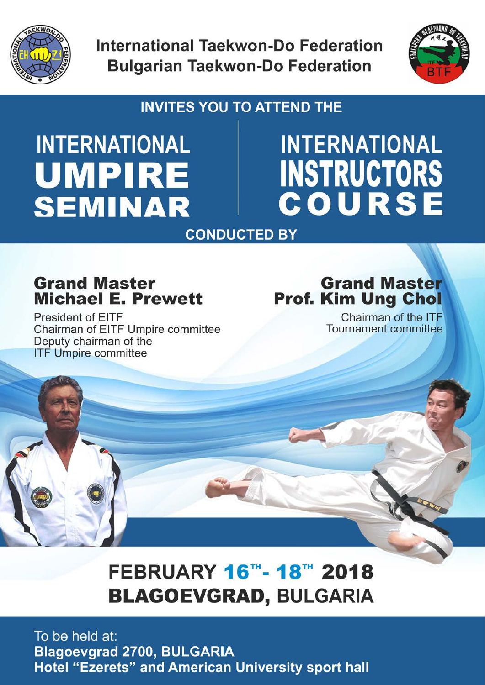

**International Taekwon-Do Federation Bulgarian Taekwon-Do Federation** 



## **INVITES YOU TO ATTEND THE**

# **INTERNATIONAL** UMPIRE **SEMINAR**

# **INTERNATIONAL INSTRUCTORS<br>COURSE**

### **CONDUCTED BY**

# **Grand Master Michael E. Prewett**

President of EITF Chairman of EITF Umpire committee Deputy chairman of the **ITF Umpire committee** 

# **Grand Master Prof. Kim Ung Chol**

Chairman of the ITF Tournament committee

# FEBRUARY 16™-18™ 2018 **BLAGOEVGRAD, BULGARIA**

To be held at: **Blagoevgrad 2700, BULGARIA Hotel "Ezerets" and American University sport hall**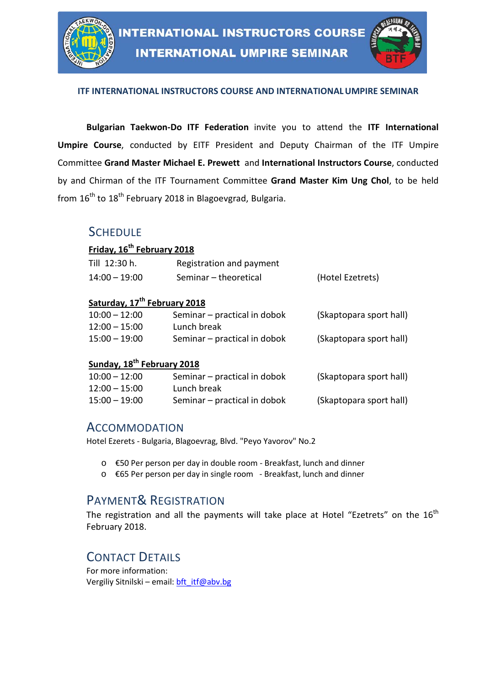

#### **ITF INTERNATIONAL INSTRUCTORS COURSE AND INTERNATIONALUMPIRE SEMINAR**

**Bulgarian Taekwon-Do ITF Federation** invite you to attend the **ITF International Umpire Course**, conducted by EITF President and Deputy Chairman of the ITF Umpire Committee **Grand Master Michael E. Prewett** and **International Instructors Course**, conducted by and Chirman of the ITF Tournament Committee **Grand Master Kim Ung Chol**, to be held from  $16<sup>th</sup>$  to  $18<sup>th</sup>$  February 2018 in Blagoevgrad, Bulgaria.

#### **SCHEDULE**

#### **Friday, 16th February 2018**

| Till 12:30 h.   | Registration and payment |                  |
|-----------------|--------------------------|------------------|
| $14:00 - 19:00$ | Seminar – theoretical    | (Hotel Ezetrets) |

#### **Saturday, 17th February 2018**

| 10:00 – 12:00   | Seminar – practical in dobok | (Skaptopara sport hall) |
|-----------------|------------------------------|-------------------------|
| $12:00 - 15:00$ | Lunch break                  |                         |
| 15:00 – 19:00   | Seminar – practical in dobok | (Skaptopara sport hall) |

#### **Sunday, 18th February 2018**

| $10:00 - 12:00$ | Seminar – practical in dobok | (Skaptopara sport hall) |
|-----------------|------------------------------|-------------------------|
| $12:00 - 15:00$ | Lunch break                  |                         |
| $15:00 - 19:00$ | Seminar – practical in dobok | (Skaptopara sport hall) |

#### ACCOMMODATION

Hotel Ezerets - Bulgaria, Blagoevrag, Blvd. "Peyo Yavorov" No.2

- o €50 Per person per day in double room Breakfast, lunch and dinner
- o €65 Per person per day in single room Breakfast, lunch and dinner

#### PAYMENT& REGISTRATION

The registration and all the payments will take place at Hotel "Ezetrets" on the  $16<sup>th</sup>$ February 2018.

#### CONTACT DETAILS

For more information: Vergiliy Sitnilski – email: [bft\\_itf@abv.bg](mailto:bft_itf@abv.bg)